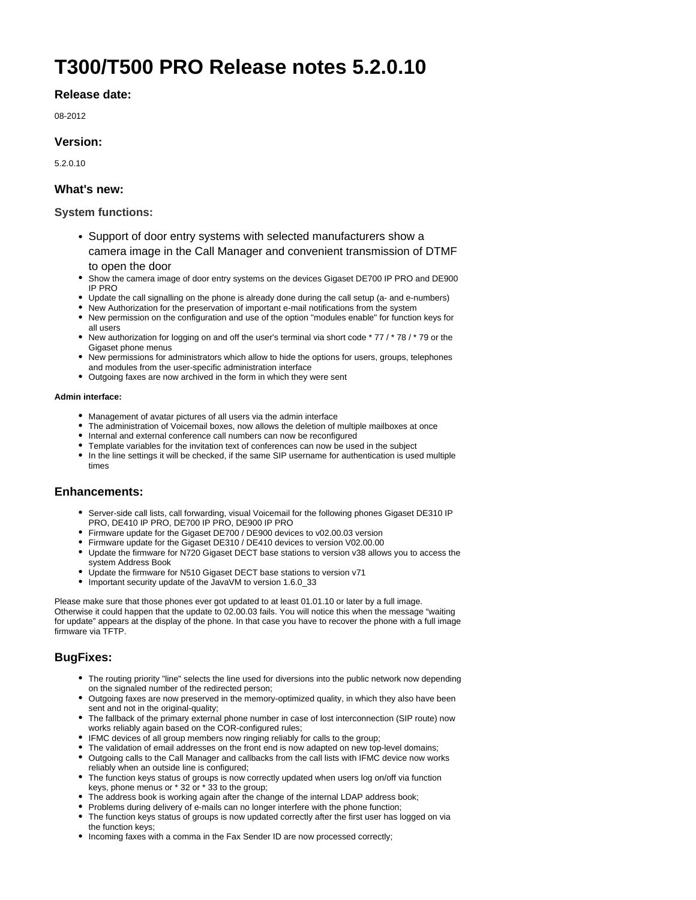# **T300/T500 PRO Release notes 5.2.0.10**

# **Release date:**

08-2012

# **Version:**

5.2.0.10

# **What's new:**

## **System functions:**

- Support of door entry systems with selected manufacturers show a camera image in the Call Manager and convenient transmission of DTMF to open the door
- Show the camera image of door entry systems on the devices Gigaset DE700 IP PRO and DE900 IP PRO
- Update the call signalling on the phone is already done during the call setup (a- and e-numbers)
- New Authorization for the preservation of important e-mail notifications from the system
- New permission on the configuration and use of the option "modules enable" for function keys for all users
- New authorization for logging on and off the user's terminal via short code \* 77 / \* 78 / \* 79 or the Gigaset phone menus
- New permissions for administrators which allow to hide the options for users, groups, telephones and modules from the user-specific administration interface
- Outgoing faxes are now archived in the form in which they were sent

#### **Admin interface:**

- Management of avatar pictures of all users via the admin interface
- The administration of Voicemail boxes, now allows the deletion of multiple mailboxes at once
- Internal and external conference call numbers can now be reconfigured
- Template variables for the invitation text of conferences can now be used in the subject
- In the line settings it will be checked, if the same SIP username for authentication is used multiple times

## **Enhancements:**

- Server-side call lists, call forwarding, visual Voicemail for the following phones Gigaset DE310 IP PRO, DE410 IP PRO, DE700 IP PRO, DE900 IP PRO
- Firmware update for the Gigaset DE700 / DE900 devices to v02.00.03 version
- Firmware update for the Gigaset DE310 / DE410 devices to version V02.00.00
- Update the firmware for N720 Gigaset DECT base stations to version v38 allows you to access the system Address Book
- Update the firmware for N510 Gigaset DECT base stations to version v71
- Important security update of the JavaVM to version 1.6.0\_33

Please make sure that those phones ever got updated to at least 01.01.10 or later by a full image. Otherwise it could happen that the update to 02.00.03 fails. You will notice this when the message "waiting for update" appears at the display of the phone. In that case you have to recover the phone with a full image firmware via TFTP.

# **BugFixes:**

- The routing priority "line" selects the line used for diversions into the public network now depending on the signaled number of the redirected person;
- Outgoing faxes are now preserved in the memory-optimized quality, in which they also have been sent and not in the original-quality;
- The fallback of the primary external phone number in case of lost interconnection (SIP route) now works reliably again based on the COR-configured rules;
- IFMC devices of all group members now ringing reliably for calls to the group;
- The validation of email addresses on the front end is now adapted on new top-level domains;
- Outgoing calls to the Call Manager and callbacks from the call lists with IFMC device now works reliably when an outside line is configured;
- The function keys status of groups is now correctly updated when users log on/off via function keys, phone menus or \* 32 or \* 33 to the group;
- The address book is working again after the change of the internal LDAP address book;
- Problems during delivery of e-mails can no longer interfere with the phone function;
- The function keys status of groups is now updated correctly after the first user has logged on via the function keys;
- Incoming faxes with a comma in the Fax Sender ID are now processed correctly;